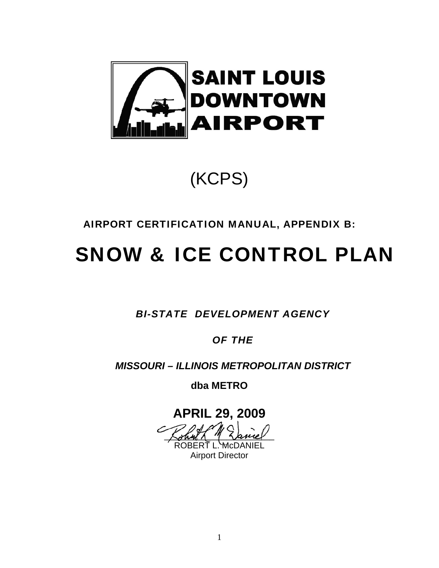

### (KCPS)

### AIRPORT CERTIFICATION MANUAL, APPENDIX B:

## SNOW & ICE CONTROL PLAN

*BI-STATE DEVELOPMENT AGENCY* 

*OF THE* 

*MISSOURI – ILLINOIS METROPOLITAN DISTRICT* 

**dba METRO**

### **APRIL 29, 2009**

 $\zeta$ ohnt $\Lambda$  " $\zeta$ ance OBERŤ L. <del>M</del>cD

Airport Director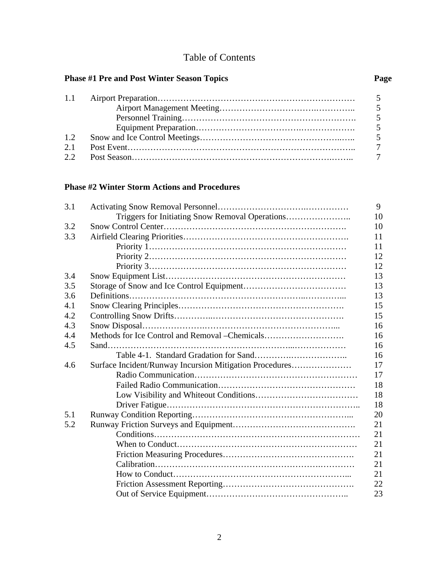### Table of Contents

#### Phase #1 Pre and Post Winter Season Topics **Page 19.1 Pressure Page 19.1 Page 19.1 Page 19.1 Page 19.1 Page 19.1 Page 19.1 Page 19.1 Page 19.1 Page 19.1 Page 19.1 Page 19.1 Page 19.1 Page 19.1 Page 19.1 Page 19.1 Page 19.1**

| 1.2 |  |
|-----|--|
| 2.1 |  |
|     |  |

#### **Phase #2 Winter Storm Actions and Procedures**

| 3.1 |                                                         | 9  |
|-----|---------------------------------------------------------|----|
|     | Triggers for Initiating Snow Removal Operations         | 10 |
| 3.2 |                                                         | 10 |
| 3.3 |                                                         | 11 |
|     |                                                         | 11 |
|     |                                                         | 12 |
|     |                                                         | 12 |
| 3.4 |                                                         | 13 |
| 3.5 |                                                         | 13 |
| 3.6 |                                                         | 13 |
| 4.1 |                                                         | 15 |
| 4.2 |                                                         | 15 |
| 4.3 |                                                         | 16 |
| 4.4 | Methods for Ice Control and Removal - Chemicals         | 16 |
| 4.5 |                                                         | 16 |
|     |                                                         | 16 |
| 4.6 | Surface Incident/Runway Incursion Mitigation Procedures | 17 |
|     |                                                         | 17 |
|     |                                                         | 18 |
|     |                                                         | 18 |
|     |                                                         | 18 |
| 5.1 |                                                         | 20 |
| 5.2 |                                                         | 21 |
|     |                                                         | 21 |
|     |                                                         | 21 |
|     |                                                         | 21 |
|     |                                                         | 21 |
|     |                                                         | 21 |
|     |                                                         | 22 |
|     |                                                         | 23 |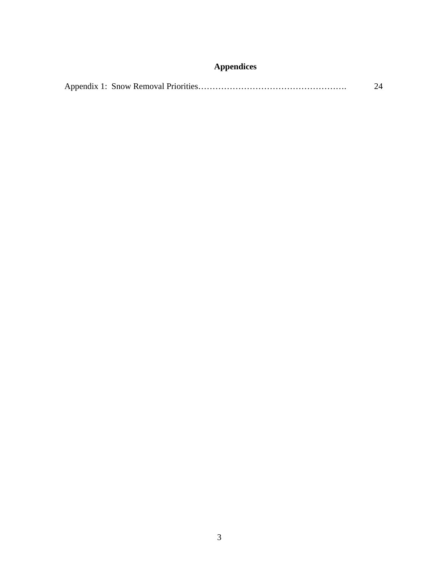### **Appendices**

|--|--|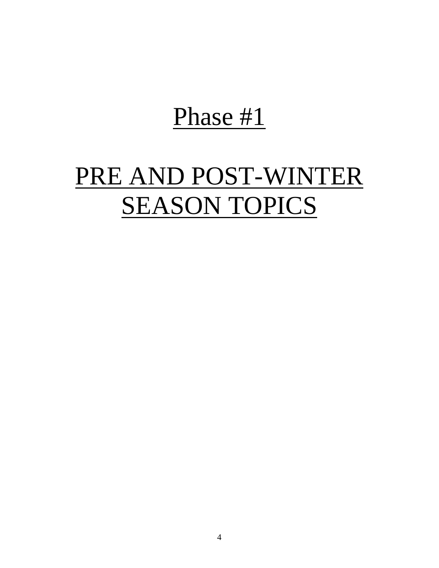# Phase #1

# PRE AND POST-WINTER **SEASON TOPICS**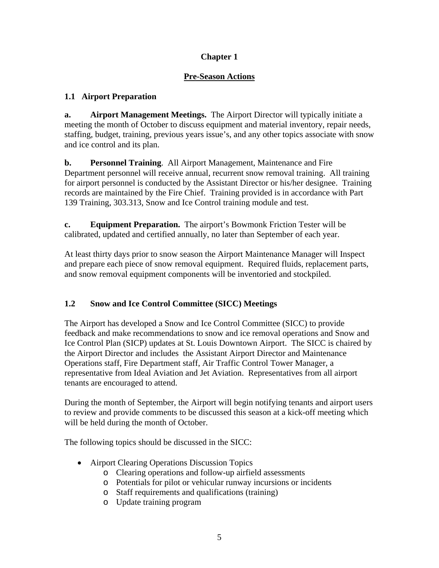#### **Pre-Season Actions**

#### **1.1 Airport Preparation**

**a. Airport Management Meetings.** The Airport Director will typically initiate a meeting the month of October to discuss equipment and material inventory, repair needs, staffing, budget, training, previous years issue's, and any other topics associate with snow and ice control and its plan.

**b.** Personnel Training. All Airport Management, Maintenance and Fire Department personnel will receive annual, recurrent snow removal training. All training for airport personnel is conducted by the Assistant Director or his/her designee. Training records are maintained by the Fire Chief. Training provided is in accordance with Part 139 Training, 303.313, Snow and Ice Control training module and test.

**c. Equipment Preparation.** The airport's Bowmonk Friction Tester will be calibrated, updated and certified annually, no later than September of each year.

At least thirty days prior to snow season the Airport Maintenance Manager will Inspect and prepare each piece of snow removal equipment. Required fluids, replacement parts, and snow removal equipment components will be inventoried and stockpiled.

### **1.2 Snow and Ice Control Committee (SICC) Meetings**

The Airport has developed a Snow and Ice Control Committee (SICC) to provide feedback and make recommendations to snow and ice removal operations and Snow and Ice Control Plan (SICP) updates at St. Louis Downtown Airport. The SICC is chaired by the Airport Director and includes the Assistant Airport Director and Maintenance Operations staff, Fire Department staff, Air Traffic Control Tower Manager, a representative from Ideal Aviation and Jet Aviation. Representatives from all airport tenants are encouraged to attend.

During the month of September, the Airport will begin notifying tenants and airport users to review and provide comments to be discussed this season at a kick-off meeting which will be held during the month of October.

The following topics should be discussed in the SICC:

- Airport Clearing Operations Discussion Topics
	- o Clearing operations and follow-up airfield assessments
	- o Potentials for pilot or vehicular runway incursions or incidents
	- o Staff requirements and qualifications (training)
	- o Update training program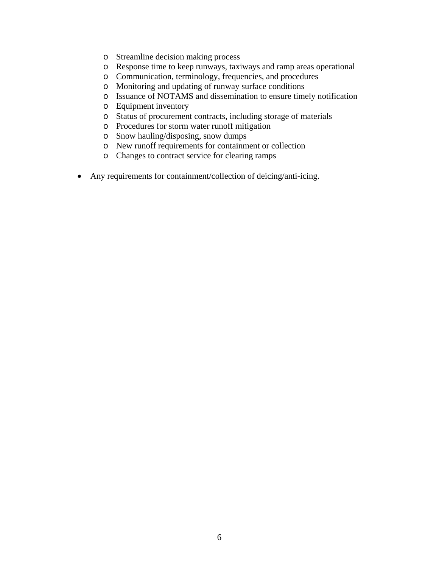- o Streamline decision making process
- o Response time to keep runways, taxiways and ramp areas operational
- o Communication, terminology, frequencies, and procedures
- o Monitoring and updating of runway surface conditions
- o Issuance of NOTAMS and dissemination to ensure timely notification
- o Equipment inventory
- o Status of procurement contracts, including storage of materials
- o Procedures for storm water runoff mitigation
- o Snow hauling/disposing, snow dumps
- o New runoff requirements for containment or collection
- o Changes to contract service for clearing ramps
- Any requirements for containment/collection of deicing/anti-icing.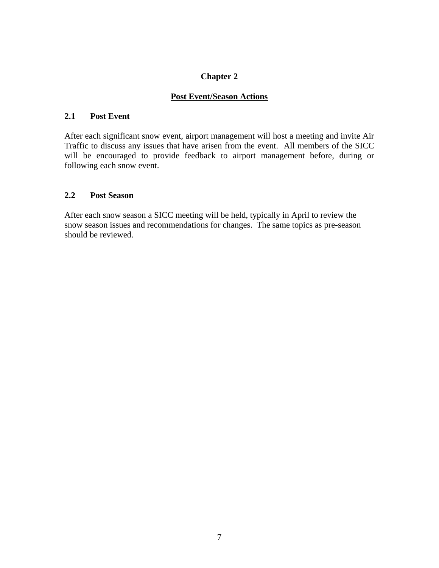#### **Post Event/Season Actions**

#### **2.1 Post Event**

After each significant snow event, airport management will host a meeting and invite Air Traffic to discuss any issues that have arisen from the event. All members of the SICC will be encouraged to provide feedback to airport management before, during or following each snow event.

#### **2.2 Post Season**

After each snow season a SICC meeting will be held, typically in April to review the snow season issues and recommendations for changes. The same topics as pre-season should be reviewed.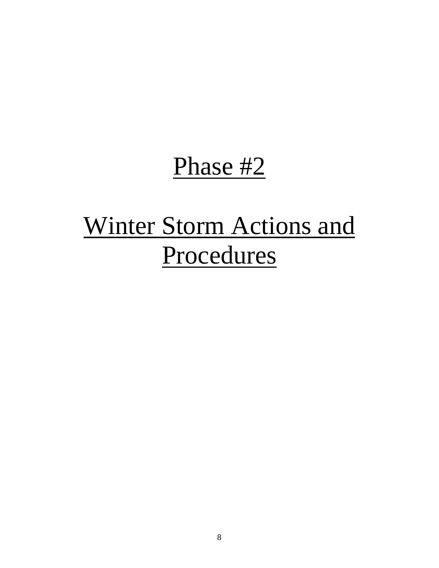# Phase #2

# Winter Storm Actions and Procedures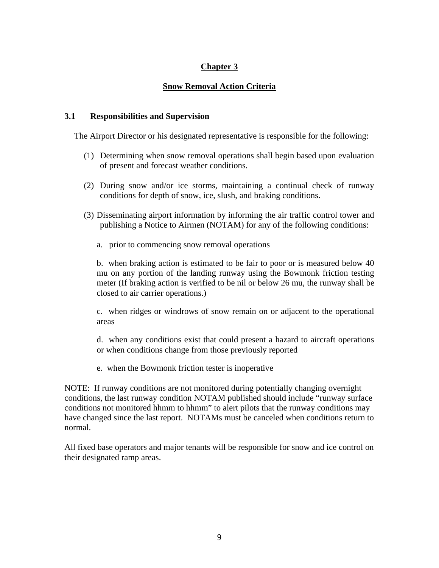#### **Snow Removal Action Criteria**

#### **3.1 Responsibilities and Supervision**

The Airport Director or his designated representative is responsible for the following:

- (1) Determining when snow removal operations shall begin based upon evaluation of present and forecast weather conditions.
- (2) During snow and/or ice storms, maintaining a continual check of runway conditions for depth of snow, ice, slush, and braking conditions.
- (3) Disseminating airport information by informing the air traffic control tower and publishing a Notice to Airmen (NOTAM) for any of the following conditions:
	- a. prior to commencing snow removal operations

b. when braking action is estimated to be fair to poor or is measured below 40 mu on any portion of the landing runway using the Bowmonk friction testing meter (If braking action is verified to be nil or below 26 mu, the runway shall be closed to air carrier operations.)

c. when ridges or windrows of snow remain on or adjacent to the operational areas

d. when any conditions exist that could present a hazard to aircraft operations or when conditions change from those previously reported

e. when the Bowmonk friction tester is inoperative

NOTE: If runway conditions are not monitored during potentially changing overnight conditions, the last runway condition NOTAM published should include "runway surface conditions not monitored hhmm to hhmm" to alert pilots that the runway conditions may have changed since the last report. NOTAMs must be canceled when conditions return to normal.

All fixed base operators and major tenants will be responsible for snow and ice control on their designated ramp areas.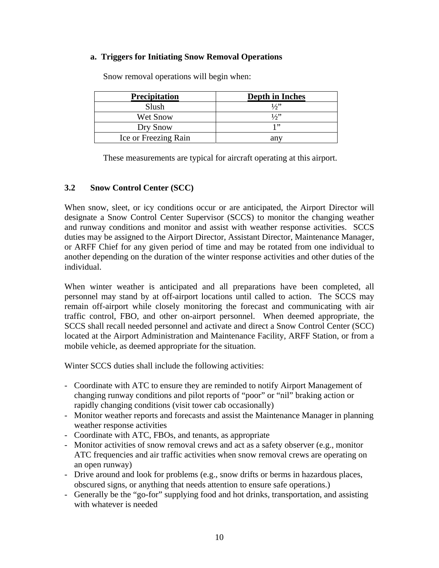#### **a. Triggers for Initiating Snow Removal Operations**

| <b>Precipitation</b> | Depth in Inches |
|----------------------|-----------------|
| Slush                | 1/2             |
| Wet Snow             | 1/2             |
| Dry Snow             | 1"              |
| Ice or Freezing Rain | anv             |

Snow removal operations will begin when:

These measurements are typical for aircraft operating at this airport.

#### **3.2 Snow Control Center (SCC)**

When snow, sleet, or icy conditions occur or are anticipated, the Airport Director will designate a Snow Control Center Supervisor (SCCS) to monitor the changing weather and runway conditions and monitor and assist with weather response activities. SCCS duties may be assigned to the Airport Director, Assistant Director, Maintenance Manager, or ARFF Chief for any given period of time and may be rotated from one individual to another depending on the duration of the winter response activities and other duties of the individual.

When winter weather is anticipated and all preparations have been completed, all personnel may stand by at off-airport locations until called to action. The SCCS may remain off-airport while closely monitoring the forecast and communicating with air traffic control, FBO, and other on-airport personnel. When deemed appropriate, the SCCS shall recall needed personnel and activate and direct a Snow Control Center (SCC) located at the Airport Administration and Maintenance Facility, ARFF Station, or from a mobile vehicle, as deemed appropriate for the situation.

Winter SCCS duties shall include the following activities:

- Coordinate with ATC to ensure they are reminded to notify Airport Management of changing runway conditions and pilot reports of "poor" or "nil" braking action or rapidly changing conditions (visit tower cab occasionally)
- Monitor weather reports and forecasts and assist the Maintenance Manager in planning weather response activities
- Coordinate with ATC, FBOs, and tenants, as appropriate
- Monitor activities of snow removal crews and act as a safety observer (e.g., monitor ATC frequencies and air traffic activities when snow removal crews are operating on an open runway)
- Drive around and look for problems (e.g., snow drifts or berms in hazardous places, obscured signs, or anything that needs attention to ensure safe operations.)
- Generally be the "go-for" supplying food and hot drinks, transportation, and assisting with whatever is needed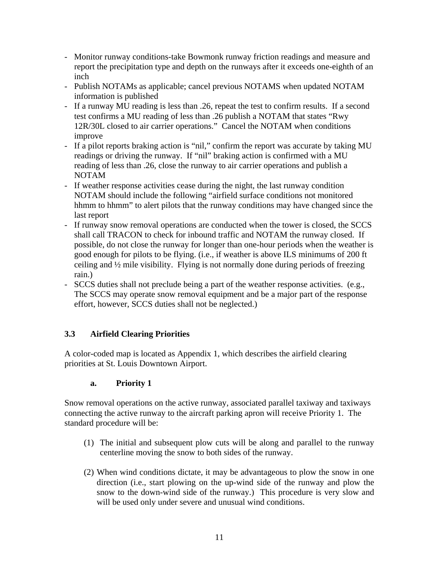- Monitor runway conditions-take Bowmonk runway friction readings and measure and report the precipitation type and depth on the runways after it exceeds one-eighth of an inch
- Publish NOTAMs as applicable; cancel previous NOTAMS when updated NOTAM information is published
- If a runway MU reading is less than .26, repeat the test to confirm results. If a second test confirms a MU reading of less than .26 publish a NOTAM that states "Rwy 12R/30L closed to air carrier operations." Cancel the NOTAM when conditions improve
- If a pilot reports braking action is "nil," confirm the report was accurate by taking MU readings or driving the runway. If "nil" braking action is confirmed with a MU reading of less than .26, close the runway to air carrier operations and publish a NOTAM
- If weather response activities cease during the night, the last runway condition NOTAM should include the following "airfield surface conditions not monitored hhmm to hhmm" to alert pilots that the runway conditions may have changed since the last report
- If runway snow removal operations are conducted when the tower is closed, the SCCS shall call TRACON to check for inbound traffic and NOTAM the runway closed. If possible, do not close the runway for longer than one-hour periods when the weather is good enough for pilots to be flying. (i.e., if weather is above ILS minimums of 200 ft ceiling and ½ mile visibility. Flying is not normally done during periods of freezing rain.)
- SCCS duties shall not preclude being a part of the weather response activities. (e.g., The SCCS may operate snow removal equipment and be a major part of the response effort, however, SCCS duties shall not be neglected.)

#### **3.3 Airfield Clearing Priorities**

A color-coded map is located as Appendix 1, which describes the airfield clearing priorities at St. Louis Downtown Airport.

#### **a. Priority 1**

Snow removal operations on the active runway, associated parallel taxiway and taxiways connecting the active runway to the aircraft parking apron will receive Priority 1. The standard procedure will be:

- (1) The initial and subsequent plow cuts will be along and parallel to the runway centerline moving the snow to both sides of the runway.
- (2) When wind conditions dictate, it may be advantageous to plow the snow in one direction (i.e., start plowing on the up-wind side of the runway and plow the snow to the down-wind side of the runway.) This procedure is very slow and will be used only under severe and unusual wind conditions.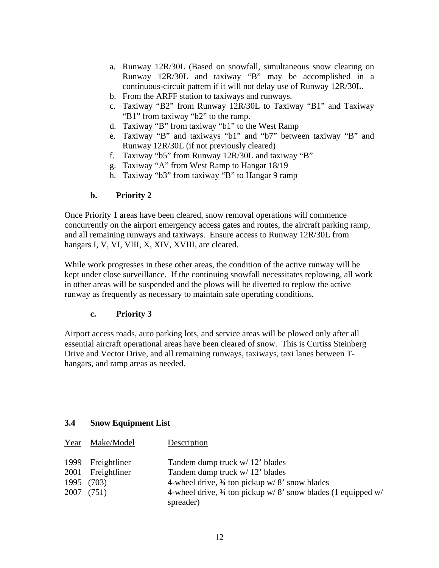- a. Runway 12R/30L (Based on snowfall, simultaneous snow clearing on Runway 12R/30L and taxiway "B" may be accomplished in a continuous-circuit pattern if it will not delay use of Runway 12R/30L.
- b. From the ARFF station to taxiways and runways.
- c. Taxiway "B2" from Runway 12R/30L to Taxiway "B1" and Taxiway "B1" from taxiway "b2" to the ramp.
- d. Taxiway "B" from taxiway "b1" to the West Ramp
- e. Taxiway "B" and taxiways "b1" and "b7" between taxiway "B" and Runway 12R/30L (if not previously cleared)
- f. Taxiway "b5" from Runway 12R/30L and taxiway "B"
- g. Taxiway "A" from West Ramp to Hangar 18/19
- h. Taxiway "b3" from taxiway "B" to Hangar 9 ramp

#### **b. Priority 2**

Once Priority 1 areas have been cleared, snow removal operations will commence concurrently on the airport emergency access gates and routes, the aircraft parking ramp, and all remaining runways and taxiways. Ensure access to Runway 12R/30L from hangars I, V, VI, VIII, X, XIV, XVIII, are cleared.

While work progresses in these other areas, the condition of the active runway will be kept under close surveillance. If the continuing snowfall necessitates replowing, all work in other areas will be suspended and the plows will be diverted to replow the active runway as frequently as necessary to maintain safe operating conditions.

#### **c. Priority 3**

Airport access roads, auto parking lots, and service areas will be plowed only after all essential aircraft operational areas have been cleared of snow. This is Curtiss Steinberg Drive and Vector Drive, and all remaining runways, taxiways, taxi lanes between Thangars, and ramp areas as needed.

#### **3.4 Snow Equipment List**

| Year Make/Model   | Description                                                             |
|-------------------|-------------------------------------------------------------------------|
| 1999 Freightliner | Tandem dump truck w/ 12' blades                                         |
| 2001 Freightliner | Tandem dump truck w/ 12' blades                                         |
| 1995 (703)        | 4-wheel drive, $\frac{3}{4}$ ton pickup w/8' snow blades                |
| 2007 (751)        | 4-wheel drive, $\frac{3}{4}$ ton pickup w/8' snow blades (1 equipped w/ |
|                   | spreader)                                                               |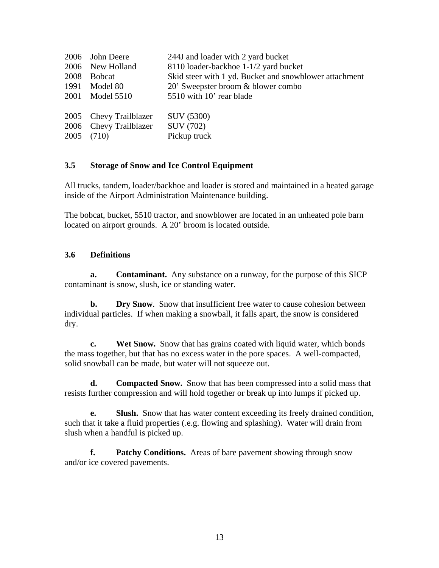| 2006 John Deere        | 244J and loader with 2 yard bucket                     |
|------------------------|--------------------------------------------------------|
| 2006 New Holland       | 8110 loader-backhoe 1-1/2 yard bucket                  |
| 2008 Bobcat            | Skid steer with 1 yd. Bucket and snowblower attachment |
| 1991 Model 80          | 20' Sweepster broom & blower combo                     |
| 2001 Model 5510        | 5510 with 10' rear blade                               |
| 2005 Chevy Trailblazer | SUV (5300)                                             |
| 2006 Chevy Trailblazer | SUV (702)                                              |
| 2005 (710)             | Pickup truck                                           |
|                        |                                                        |

#### **3.5 Storage of Snow and Ice Control Equipment**

All trucks, tandem, loader/backhoe and loader is stored and maintained in a heated garage inside of the Airport Administration Maintenance building.

The bobcat, bucket, 5510 tractor, and snowblower are located in an unheated pole barn located on airport grounds. A 20' broom is located outside.

#### **3.6 Definitions**

**a. Contaminant.** Any substance on a runway, for the purpose of this SICP contaminant is snow, slush, ice or standing water.

**b.** Dry Snow. Snow that insufficient free water to cause cohesion between individual particles. If when making a snowball, it falls apart, the snow is considered dry.

**c. Wet Snow.** Snow that has grains coated with liquid water, which bonds the mass together, but that has no excess water in the pore spaces. A well-compacted, solid snowball can be made, but water will not squeeze out.

**d. Compacted Snow.** Snow that has been compressed into a solid mass that resists further compression and will hold together or break up into lumps if picked up.

**e. Slush.** Snow that has water content exceeding its freely drained condition, such that it take a fluid properties (.e.g. flowing and splashing). Water will drain from slush when a handful is picked up.

**f. Patchy Conditions.** Areas of bare pavement showing through snow and/or ice covered pavements.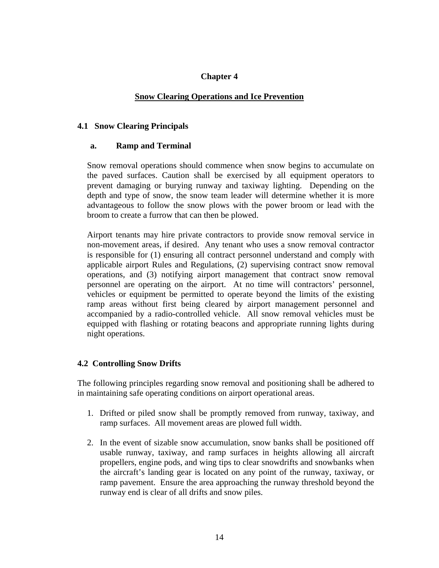#### **Snow Clearing Operations and Ice Prevention**

#### **4.1 Snow Clearing Principals**

#### **a. Ramp and Terminal**

 Snow removal operations should commence when snow begins to accumulate on the paved surfaces. Caution shall be exercised by all equipment operators to prevent damaging or burying runway and taxiway lighting. Depending on the depth and type of snow, the snow team leader will determine whether it is more advantageous to follow the snow plows with the power broom or lead with the broom to create a furrow that can then be plowed.

 Airport tenants may hire private contractors to provide snow removal service in non-movement areas, if desired. Any tenant who uses a snow removal contractor is responsible for (1) ensuring all contract personnel understand and comply with applicable airport Rules and Regulations, (2) supervising contract snow removal operations, and (3) notifying airport management that contract snow removal personnel are operating on the airport. At no time will contractors' personnel, vehicles or equipment be permitted to operate beyond the limits of the existing ramp areas without first being cleared by airport management personnel and accompanied by a radio-controlled vehicle. All snow removal vehicles must be equipped with flashing or rotating beacons and appropriate running lights during night operations.

#### **4.2 Controlling Snow Drifts**

The following principles regarding snow removal and positioning shall be adhered to in maintaining safe operating conditions on airport operational areas.

- 1. Drifted or piled snow shall be promptly removed from runway, taxiway, and ramp surfaces. All movement areas are plowed full width.
- 2. In the event of sizable snow accumulation, snow banks shall be positioned off usable runway, taxiway, and ramp surfaces in heights allowing all aircraft propellers, engine pods, and wing tips to clear snowdrifts and snowbanks when the aircraft's landing gear is located on any point of the runway, taxiway, or ramp pavement. Ensure the area approaching the runway threshold beyond the runway end is clear of all drifts and snow piles.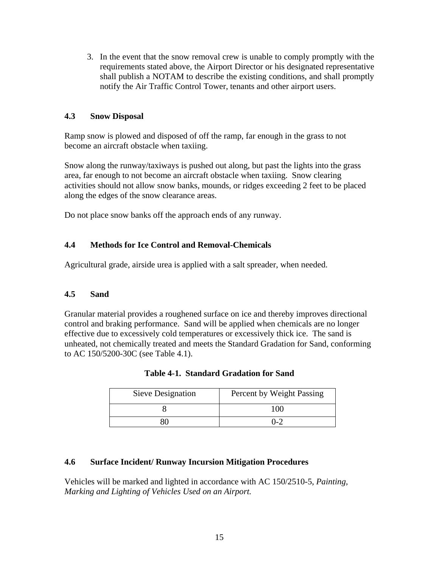3. In the event that the snow removal crew is unable to comply promptly with the requirements stated above, the Airport Director or his designated representative shall publish a NOTAM to describe the existing conditions, and shall promptly notify the Air Traffic Control Tower, tenants and other airport users.

#### **4.3 Snow Disposal**

Ramp snow is plowed and disposed of off the ramp, far enough in the grass to not become an aircraft obstacle when taxiing.

Snow along the runway/taxiways is pushed out along, but past the lights into the grass area, far enough to not become an aircraft obstacle when taxiing. Snow clearing activities should not allow snow banks, mounds, or ridges exceeding 2 feet to be placed along the edges of the snow clearance areas.

Do not place snow banks off the approach ends of any runway.

#### **4.4 Methods for Ice Control and Removal-Chemicals**

Agricultural grade, airside urea is applied with a salt spreader, when needed.

#### **4.5 Sand**

Granular material provides a roughened surface on ice and thereby improves directional control and braking performance. Sand will be applied when chemicals are no longer effective due to excessively cold temperatures or excessively thick ice. The sand is unheated, not chemically treated and meets the Standard Gradation for Sand, conforming to AC 150/5200-30C (see Table 4.1).

| Sieve Designation | Percent by Weight Passing |
|-------------------|---------------------------|
|                   | 100                       |
|                   | በ-2                       |

#### **4.6 Surface Incident/ Runway Incursion Mitigation Procedures**

Vehicles will be marked and lighted in accordance with AC 150/2510-5, *Painting, Marking and Lighting of Vehicles Used on an Airport.*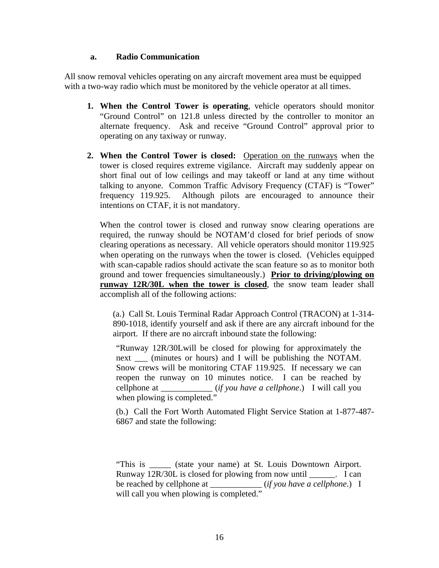#### **a. Radio Communication**

All snow removal vehicles operating on any aircraft movement area must be equipped with a two-way radio which must be monitored by the vehicle operator at all times.

- **1. When the Control Tower is operating**, vehicle operators should monitor "Ground Control" on 121.8 unless directed by the controller to monitor an alternate frequency. Ask and receive "Ground Control" approval prior to operating on any taxiway or runway.
- **2. When the Control Tower is closed:** Operation on the runways when the tower is closed requires extreme vigilance. Aircraft may suddenly appear on short final out of low ceilings and may takeoff or land at any time without talking to anyone. Common Traffic Advisory Frequency (CTAF) is "Tower" frequency 119.925. Although pilots are encouraged to announce their intentions on CTAF, it is not mandatory.

When the control tower is closed and runway snow clearing operations are required, the runway should be NOTAM'd closed for brief periods of snow clearing operations as necessary. All vehicle operators should monitor 119.925 when operating on the runways when the tower is closed. (Vehicles equipped with scan-capable radios should activate the scan feature so as to monitor both ground and tower frequencies simultaneously.) **Prior to driving/plowing on runway 12R/30L when the tower is closed**, the snow team leader shall accomplish all of the following actions:

(a.) Call St. Louis Terminal Radar Approach Control (TRACON) at 1-314- 890-1018, identify yourself and ask if there are any aircraft inbound for the airport. If there are no aircraft inbound state the following:

"Runway 12R/30Lwill be closed for plowing for approximately the next \_\_\_ (minutes or hours) and I will be publishing the NOTAM. Snow crews will be monitoring CTAF 119.925. If necessary we can reopen the runway on 10 minutes notice. I can be reached by cellphone at \_\_\_\_\_\_\_\_\_\_\_\_ (*if you have a cellphone*.) I will call you when plowing is completed."

(b.) Call the Fort Worth Automated Flight Service Station at 1-877-487- 6867 and state the following:

"This is \_\_\_\_\_ (state your name) at St. Louis Downtown Airport. Runway 12R/30L is closed for plowing from now until \_\_\_\_\_\_. I can be reached by cellphone at \_\_\_\_\_\_\_\_\_\_\_\_ (*if you have a cellphone*.) I will call you when plowing is completed."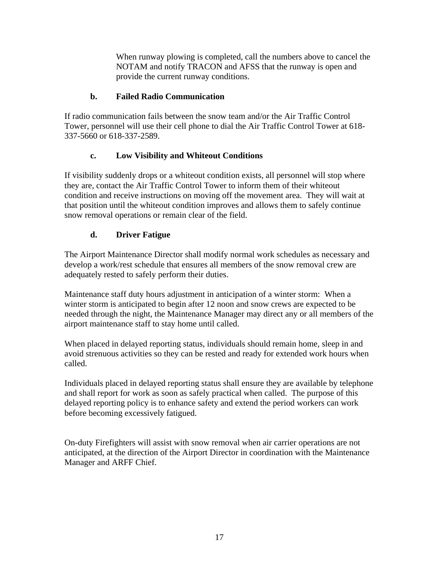When runway plowing is completed, call the numbers above to cancel the NOTAM and notify TRACON and AFSS that the runway is open and provide the current runway conditions.

#### **b. Failed Radio Communication**

If radio communication fails between the snow team and/or the Air Traffic Control Tower, personnel will use their cell phone to dial the Air Traffic Control Tower at 618- 337-5660 or 618-337-2589.

#### **c. Low Visibility and Whiteout Conditions**

If visibility suddenly drops or a whiteout condition exists, all personnel will stop where they are, contact the Air Traffic Control Tower to inform them of their whiteout condition and receive instructions on moving off the movement area. They will wait at that position until the whiteout condition improves and allows them to safely continue snow removal operations or remain clear of the field.

#### **d. Driver Fatigue**

The Airport Maintenance Director shall modify normal work schedules as necessary and develop a work/rest schedule that ensures all members of the snow removal crew are adequately rested to safely perform their duties.

Maintenance staff duty hours adjustment in anticipation of a winter storm: When a winter storm is anticipated to begin after 12 noon and snow crews are expected to be needed through the night, the Maintenance Manager may direct any or all members of the airport maintenance staff to stay home until called.

When placed in delayed reporting status, individuals should remain home, sleep in and avoid strenuous activities so they can be rested and ready for extended work hours when called.

Individuals placed in delayed reporting status shall ensure they are available by telephone and shall report for work as soon as safely practical when called. The purpose of this delayed reporting policy is to enhance safety and extend the period workers can work before becoming excessively fatigued.

On-duty Firefighters will assist with snow removal when air carrier operations are not anticipated, at the direction of the Airport Director in coordination with the Maintenance Manager and ARFF Chief.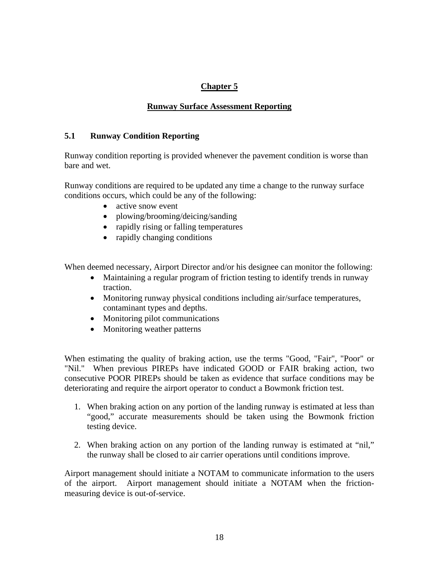#### **Runway Surface Assessment Reporting**

#### **5.1 Runway Condition Reporting**

Runway condition reporting is provided whenever the pavement condition is worse than bare and wet.

Runway conditions are required to be updated any time a change to the runway surface conditions occurs, which could be any of the following:

- active snow event
- plowing/brooming/deicing/sanding
- rapidly rising or falling temperatures
- rapidly changing conditions

When deemed necessary, Airport Director and/or his designee can monitor the following:

- Maintaining a regular program of friction testing to identify trends in runway traction.
- Monitoring runway physical conditions including air/surface temperatures, contaminant types and depths.
- Monitoring pilot communications
- Monitoring weather patterns

When estimating the quality of braking action, use the terms "Good, "Fair", "Poor" or "Nil." When previous PIREPs have indicated GOOD or FAIR braking action, two consecutive POOR PIREPs should be taken as evidence that surface conditions may be deteriorating and require the airport operator to conduct a Bowmonk friction test.

- 1. When braking action on any portion of the landing runway is estimated at less than "good," accurate measurements should be taken using the Bowmonk friction testing device.
- 2. When braking action on any portion of the landing runway is estimated at "nil," the runway shall be closed to air carrier operations until conditions improve.

Airport management should initiate a NOTAM to communicate information to the users of the airport. Airport management should initiate a NOTAM when the frictionmeasuring device is out-of-service.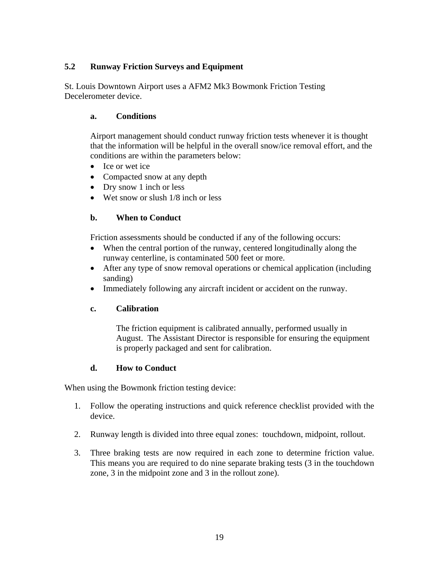#### **5.2 Runway Friction Surveys and Equipment**

St. Louis Downtown Airport uses a AFM2 Mk3 Bowmonk Friction Testing Decelerometer device.

#### **a. Conditions**

Airport management should conduct runway friction tests whenever it is thought that the information will be helpful in the overall snow/ice removal effort, and the conditions are within the parameters below:

- Ice or wet ice
- Compacted snow at any depth
- Dry snow 1 inch or less
- Wet snow or slush 1/8 inch or less

#### **b. When to Conduct**

Friction assessments should be conducted if any of the following occurs:

- When the central portion of the runway, centered longitudinally along the runway centerline, is contaminated 500 feet or more.
- After any type of snow removal operations or chemical application (including sanding)
- Immediately following any aircraft incident or accident on the runway.

#### **c. Calibration**

The friction equipment is calibrated annually, performed usually in August. The Assistant Director is responsible for ensuring the equipment is properly packaged and sent for calibration.

#### **d. How to Conduct**

When using the Bowmonk friction testing device:

- 1. Follow the operating instructions and quick reference checklist provided with the device.
- 2. Runway length is divided into three equal zones: touchdown, midpoint, rollout.
- 3. Three braking tests are now required in each zone to determine friction value. This means you are required to do nine separate braking tests (3 in the touchdown zone, 3 in the midpoint zone and 3 in the rollout zone).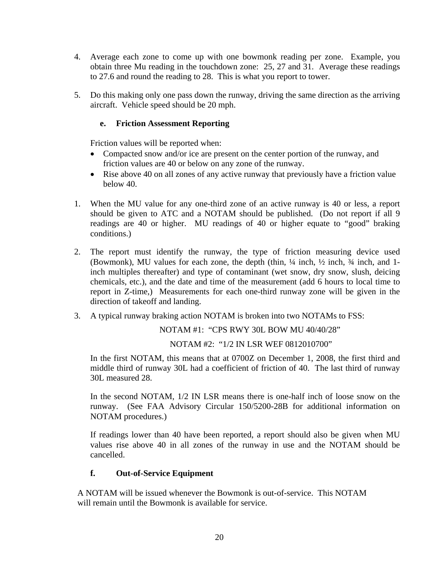- 4. Average each zone to come up with one bowmonk reading per zone. Example, you obtain three Mu reading in the touchdown zone: 25, 27 and 31. Average these readings to 27.6 and round the reading to 28. This is what you report to tower.
- 5. Do this making only one pass down the runway, driving the same direction as the arriving aircraft. Vehicle speed should be 20 mph.

#### **e. Friction Assessment Reporting**

Friction values will be reported when:

- Compacted snow and/or ice are present on the center portion of the runway, and friction values are 40 or below on any zone of the runway.
- Rise above 40 on all zones of any active runway that previously have a friction value below 40.
- 1. When the MU value for any one-third zone of an active runway is 40 or less, a report should be given to ATC and a NOTAM should be published. (Do not report if all 9 readings are 40 or higher. MU readings of 40 or higher equate to "good" braking conditions.)
- 2. The report must identify the runway, the type of friction measuring device used (Bowmonk), MU values for each zone, the depth (thin,  $\frac{1}{4}$  inch,  $\frac{1}{2}$  inch,  $\frac{3}{4}$  inch, and 1inch multiples thereafter) and type of contaminant (wet snow, dry snow, slush, deicing chemicals, etc.), and the date and time of the measurement (add 6 hours to local time to report in Z-time,) Measurements for each one-third runway zone will be given in the direction of takeoff and landing.
- 3. A typical runway braking action NOTAM is broken into two NOTAMs to FSS:

NOTAM #1: "CPS RWY 30L BOW MU 40/40/28"

NOTAM #2: "1/2 IN LSR WEF 0812010700"

In the first NOTAM, this means that at 0700Z on December 1, 2008, the first third and middle third of runway 30L had a coefficient of friction of 40. The last third of runway 30L measured 28.

In the second NOTAM, 1/2 IN LSR means there is one-half inch of loose snow on the runway. (See FAA Advisory Circular 150/5200-28B for additional information on NOTAM procedures.)

If readings lower than 40 have been reported, a report should also be given when MU values rise above 40 in all zones of the runway in use and the NOTAM should be cancelled.

#### **f. Out-of-Service Equipment**

A NOTAM will be issued whenever the Bowmonk is out-of-service. This NOTAM will remain until the Bowmonk is available for service.